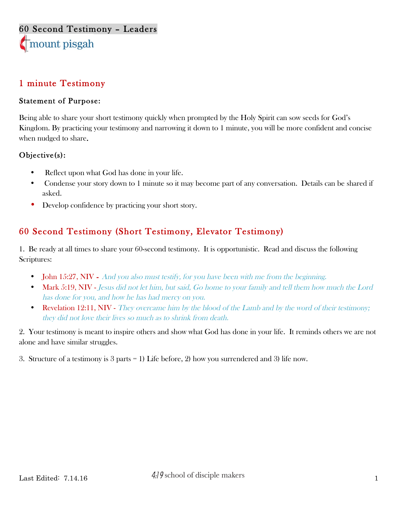#### 1 minute Testimony

#### Statement of Purpose:

Being able to share your short testimony quickly when prompted by the Holy Spirit can sow seeds for God's Kingdom. By practicing your testimony and narrowing it down to 1 minute, you will be more confident and concise when nudged to share.

#### Objective(s):

- Reflect upon what God has done in your life.
- Condense your story down to 1 minute so it may become part of any conversation. Details can be shared if asked.
- Develop confidence by practicing your short story.

### 60 Second Testimony (Short Testimony, Elevator Testimony)

1. Be ready at all times to share your 60-second testimony. It is opportunistic. Read and discuss the following Scriptures:

- **John 15:27, NIV** And you also must testify, for you have been with me from the beginning.
- Mark 5:19, NIV Jesus did not let him, but said, Go home to your family and tell them how much the Lord has done for you, and how he has had mercy on you.
- Revelation 12:11, NIV They overcame him by the blood of the Lamb and by the word of their testimony; they did not love their lives so much as to shrink from death.

2. Your testimony is meant to inspire others and show what God has done in your life. It reminds others we are not alone and have similar struggles.

3. Structure of a testimony is 3 parts = 1) Life before, 2) how you surrendered and 3) life now.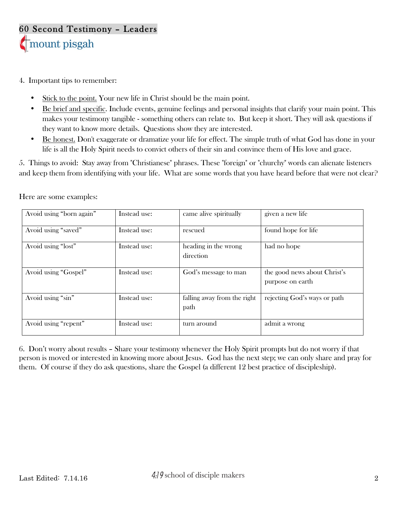- 4. Important tips to remember:
	- Stick to the point. Your new life in Christ should be the main point.
	- Be brief and specific. Include events, genuine feelings and personal insights that clarify your main point. This makes your testimony tangible - something others can relate to. But keep it short. They will ask questions if they want to know more details. Questions show they are interested.
	- Be honest. Don't exaggerate or dramatize your life for effect. The simple truth of what God has done in your life is all the Holy Spirit needs to convict others of their sin and convince them of His love and grace.

5. Things to avoid: Stay away from "Christianese" phrases. These "foreign" or "churchy" words can alienate listeners and keep them from identifying with your life. What are some words that you have heard before that were not clear?

| Avoid using "born again" | Instead use: | came alive spiritually              | given a new life                                 |
|--------------------------|--------------|-------------------------------------|--------------------------------------------------|
| Avoid using "saved"      | Instead use: | rescued                             | found hope for life                              |
| Avoid using "lost"       | Instead use: | heading in the wrong<br>direction   | had no hope                                      |
| Avoid using "Gospel"     | Instead use: | God's message to man                | the good news about Christ's<br>purpose on earth |
| Avoid using "sin"        | Instead use: | falling away from the right<br>path | rejecting God's ways or path                     |
| Avoid using "repent"     | Instead use: | turn around                         | admit a wrong                                    |

Here are some examples:

6. Don't worry about results – Share your testimony whenever the Holy Spirit prompts but do not worry if that person is moved or interested in knowing more about Jesus. God has the next step; we can only share and pray for them. Of course if they do ask questions, share the Gospel (a different 12 best practice of discipleship).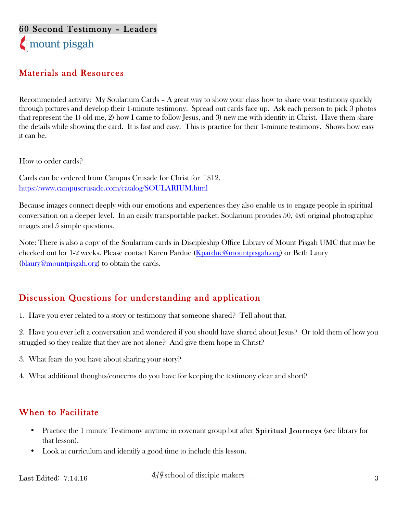# 60 Second Testimony – Leaders mount pisgah

#### Materials and Resources

Recommended activity: My Soularium Cards – A great way to show your class how to share your testimony quickly through pictures and develop their 1-minute testimony. Spread out cards face up. Ask each person to pick 3 photos that represent the 1) old me, 2) how I came to follow Jesus, and 3) new me with identity in Christ. Have them share the details while showing the card. It is fast and easy. This is practice for their 1-minute testimony. Shows how easy it can be.

How to order cards?

Cards can be ordered from Campus Crusade for Christ for ~\$12. https://www.campuscrusade.com/catalog/SOULARIUM.html

Because images connect deeply with our emotions and experiences they also enable us to engage people in spiritual conversation on a deeper level. In an easily transportable packet, Soularium provides 50, 4x6 original photographic images and 5 simple questions.

Note: There is also a copy of the Soularium cards in Discipleship Office Library of Mount Pisgah UMC that may be checked out for 1-2 weeks. Please contact Karen Pardue (Kpardue@mountpisgah.org) or Beth Laury (blaury@mountpisgah.org) to obtain the cards.

#### Discussion Questions for understanding and application

1. Have you ever related to a story or testimony that someone shared? Tell about that.

2. Have you ever left a conversation and wondered if you should have shared about Jesus? Or told them of how you struggled so they realize that they are not alone? And give them hope in Christ?

- 3. What fears do you have about sharing your story?
- 4. What additional thoughts/concerns do you have for keeping the testimony clear and short?

#### When to Facilitate

- Practice the 1 minute Testimony anytime in covenant group but after Spiritual Journeys (see library for that lesson).
- Look at curriculum and identify a good time to include this lesson.